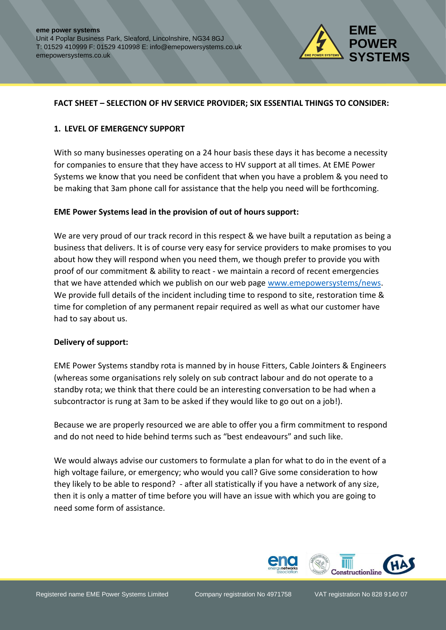

### **FACT SHEET – SELECTION OF HV SERVICE PROVIDER; SIX ESSENTIAL THINGS TO CONSIDER:**

#### **1. LEVEL OF EMERGENCY SUPPORT**

With so many businesses operating on a 24 hour basis these days it has become a necessity for companies to ensure that they have access to HV support at all times. At EME Power Systems we know that you need be confident that when you have a problem & you need to be making that 3am phone call for assistance that the help you need will be forthcoming.

#### **EME Power Systems lead in the provision of out of hours support:**

We are very proud of our track record in this respect & we have built a reputation as being a business that delivers. It is of course very easy for service providers to make promises to you about how they will respond when you need them, we though prefer to provide you with proof of our commitment & ability to react - we maintain a record of recent emergencies that we have attended which we publish on our web page [www.emepowersystems/news.](http://www.emepowersystems/news) We provide full details of the incident including time to respond to site, restoration time & time for completion of any permanent repair required as well as what our customer have had to say about us.

#### **Delivery of support:**

EME Power Systems standby rota is manned by in house Fitters, Cable Jointers & Engineers (whereas some organisations rely solely on sub contract labour and do not operate to a standby rota; we think that there could be an interesting conversation to be had when a subcontractor is rung at 3am to be asked if they would like to go out on a job!).

Because we are properly resourced we are able to offer you a firm commitment to respond and do not need to hide behind terms such as "best endeavours" and such like.

We would always advise our customers to formulate a plan for what to do in the event of a high voltage failure, or emergency; who would you call? Give some consideration to how they likely to be able to respond? - after all statistically if you have a network of any size, then it is only a matter of time before you will have an issue with which you are going to need some form of assistance.

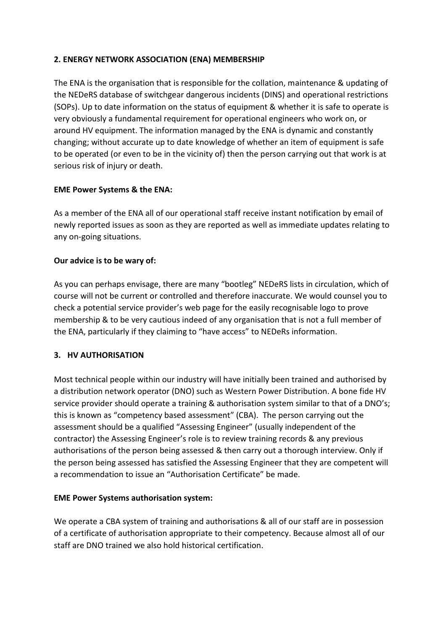# **2. ENERGY NETWORK ASSOCIATION (ENA) MEMBERSHIP**

The ENA is the organisation that is responsible for the collation, maintenance & updating of the NEDeRS database of switchgear dangerous incidents (DINS) and operational restrictions (SOPs). Up to date information on the status of equipment & whether it is safe to operate is very obviously a fundamental requirement for operational engineers who work on, or around HV equipment. The information managed by the ENA is dynamic and constantly changing; without accurate up to date knowledge of whether an item of equipment is safe to be operated (or even to be in the vicinity of) then the person carrying out that work is at serious risk of injury or death.

## **EME Power Systems & the ENA:**

As a member of the ENA all of our operational staff receive instant notification by email of newly reported issues as soon as they are reported as well as immediate updates relating to any on-going situations.

## **Our advice is to be wary of:**

As you can perhaps envisage, there are many "bootleg" NEDeRS lists in circulation, which of course will not be current or controlled and therefore inaccurate. We would counsel you to check a potential service provider's web page for the easily recognisable logo to prove membership & to be very cautious indeed of any organisation that is not a full member of the ENA, particularly if they claiming to "have access" to NEDeRs information.

# **3. HV AUTHORISATION**

Most technical people within our industry will have initially been trained and authorised by a distribution network operator (DNO) such as Western Power Distribution. A bone fide HV service provider should operate a training & authorisation system similar to that of a DNO's; this is known as "competency based assessment" (CBA). The person carrying out the assessment should be a qualified "Assessing Engineer" (usually independent of the contractor) the Assessing Engineer's role is to review training records & any previous authorisations of the person being assessed & then carry out a thorough interview. Only if the person being assessed has satisfied the Assessing Engineer that they are competent will a recommendation to issue an "Authorisation Certificate" be made.

## **EME Power Systems authorisation system:**

We operate a CBA system of training and authorisations & all of our staff are in possession of a certificate of authorisation appropriate to their competency. Because almost all of our staff are DNO trained we also hold historical certification.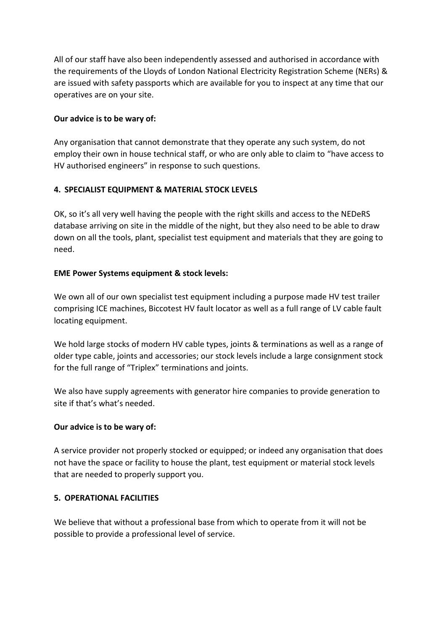All of our staff have also been independently assessed and authorised in accordance with the requirements of the Lloyds of London National Electricity Registration Scheme (NERs) & are issued with safety passports which are available for you to inspect at any time that our operatives are on your site.

## **Our advice is to be wary of:**

Any organisation that cannot demonstrate that they operate any such system, do not employ their own in house technical staff, or who are only able to claim to "have access to HV authorised engineers" in response to such questions.

# **4. SPECIALIST EQUIPMENT & MATERIAL STOCK LEVELS**

OK, so it's all very well having the people with the right skills and access to the NEDeRS database arriving on site in the middle of the night, but they also need to be able to draw down on all the tools, plant, specialist test equipment and materials that they are going to need.

## **EME Power Systems equipment & stock levels:**

We own all of our own specialist test equipment including a purpose made HV test trailer comprising ICE machines, Biccotest HV fault locator as well as a full range of LV cable fault locating equipment.

We hold large stocks of modern HV cable types, joints & terminations as well as a range of older type cable, joints and accessories; our stock levels include a large consignment stock for the full range of "Triplex" terminations and joints.

We also have supply agreements with generator hire companies to provide generation to site if that's what's needed.

## **Our advice is to be wary of:**

A service provider not properly stocked or equipped; or indeed any organisation that does not have the space or facility to house the plant, test equipment or material stock levels that are needed to properly support you.

## **5. OPERATIONAL FACILITIES**

We believe that without a professional base from which to operate from it will not be possible to provide a professional level of service.